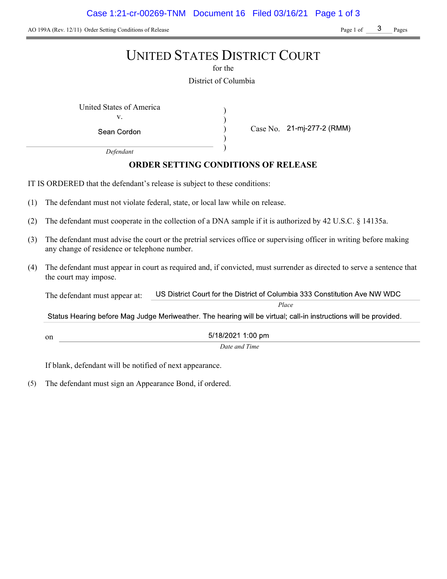Case 1:21-cr-00269-TNM Document 16 Filed 03/16/21 Page 1 of 3

AO 199A (Rev. 12/11) Order Setting Conditions of Release Page 1 of Page 1 of Pages

# UNITED STATES DISTRICT COURT

for the

District of Columbia

) ) ) )

United States of America (1992) v.

Sean Cordon

Case No. 21-mj-277-2 (RMM)

Defendant

# ORDER SETTING CONDITIONS OF RELEASE

IT IS ORDERED that the defendant's release is subject to these conditions:

- (1) The defendant must not violate federal, state, or local law while on release.
- (2) The defendant must cooperate in the collection of a DNA sample if it is authorized by 42 U.S.C. § 14135a.
- (3) The defendant must advise the court or the pretrial services office or supervising officer in writing before making any change of residence or telephone number.
- (4) The defendant must appear in court as required and, if convicted, must surrender as directed to serve a sentence that the court may impose.

US District Court for the District of Columbia 333 Constitution Ave NW WDC The defendant must appear at:

Place

Status Hearing before Mag Judge Meriweather. The hearing will be virtual; call-in instructions will be provided.

5/18/2021 1:00 pm

Date and Time

If blank, defendant will be notified of next appearance.

on

(5) The defendant must sign an Appearance Bond, if ordered.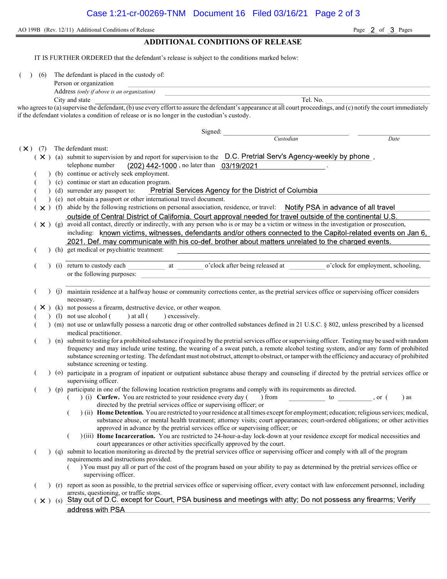AO 199B (Rev. 12/11) Additional Conditions of Release Page 2 of 3 Pages

# ADDITIONAL CONDITIONS OF RELEASE

IT IS FURTHER ORDERED that the defendant's release is subject to the conditions marked below:

(6) The defendant is placed in the custody of:

| Person or organization |  |  |
|------------------------|--|--|
|                        |  |  |

Address (only if above is an organization)

City and state Tel. No.

who agrees to (a) supervise the defendant, (b) use every effort to assure the defendant's appearance at all court proceedings, and (c) notify the court immediately if the defendant violates a condition of release or is no longer in the custodian's custody.

Signed: Custodian Date  $(\times)$  (7) The defendant must:  $(X)$  (a) submit to supervision by and report for supervision to the  $D.C.$  Pretrial Serv's Agency-weekly by phone, telephone number  $(202)$  442-1000, no later than  $03/19/2021$ (b) continue or actively seek employment. (c) continue or start an education program. Pretrial Services Agency for the District of Columbia ( ) (d) surrender any passport to: ( ) (e) not obtain a passport or other international travel document.  $(\times)$  (f) abide by the following restrictions on personal association, residence, or travel: Notify PSA in advance of all travel outside of Central District of California. Court approval needed for travel outside of the continental U.S.  $(X)$  (g) avoid all contact, directly or indirectly, with any person who is or may be a victim or witness in the investigation or prosecution, including: known victims, witnesses, defendants and/or others connected to the Capitol-related events on Jan 6, 2021. Def. may communicate with his co-def. brother about matters unrelated to the charged events. ( ) (h) get medical or psychiatric treatment: (i) return to custody each at o'clock after being released at o'clock for employment, schooling, or the following purposes: ( ) (j) maintain residence at a halfway house or community corrections center, as the pretrial services office or supervising officer considers necessary.  $(X)$  (k) not possess a firearm, destructive device, or other weapon. (1) not use alcohol  $($  ) at all  $($  ) excessively. ( ) (m) not use or unlawfully possess a narcotic drug or other controlled substances defined in 21 U.S.C. § 802, unless prescribed by a licensed medical practitioner. ( ) (n) submit to testing for a prohibited substance if required by the pretrial services office or supervising officer. Testing may be used with random frequency and may include urine testing, the wearing of a sweat patch, a remote alcohol testing system, and/or any form of prohibited substance screening or testing. The defendant must not obstruct, attempt to obstruct, or tamper with the efficiency and accuracy of prohibited substance screening or testing. ( ) (o) participate in a program of inpatient or outpatient substance abuse therapy and counseling if directed by the pretrial services office or supervising officer. ( ) (p) participate in one of the following location restriction programs and comply with its requirements as directed.  $($   $)$  (i) Curfew. You are restricted to your residence every day () from to , or () as directed by the pretrial services office or supervising officer; or  $($ ) (ii) Home Detention. You are restricted to your residence at all times except for employment; education; religious services; medical, substance abuse, or mental health treatment; attorney visits; court appearances; court-ordered obligations; or other activities approved in advance by the pretrial services office or supervising officer; or ( ) (iii) Home Incarceration. You are restricted to 24-hour-a-day lock-down at your residence except for medical necessities and court appearances or other activities specifically approved by the court. ( ) (q) submit to location monitoring as directed by the pretrial services office or supervising officer and comply with all of the program requirements and instructions provided. ( ) You must pay all or part of the cost of the program based on your ability to pay as determined by the pretrial services office or supervising officer. ( ) (r) report as soon as possible, to the pretrial services office or supervising officer, every contact with law enforcement personnel, including arrests, questioning, or traffic stops.<br>Stay out of D.C. except for Court, PSA business and meetings with atty; Do not possess any firearms; Verify  $(\times )$  (s) address with PSA